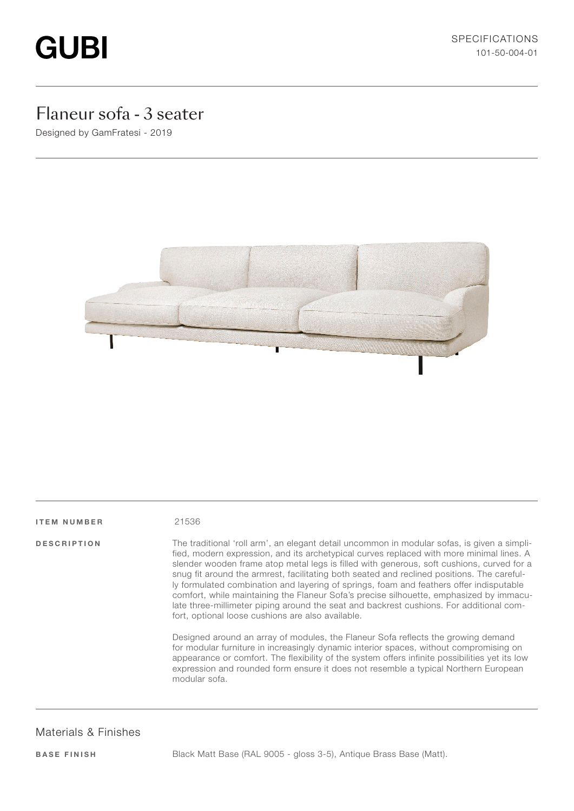# **GUBI**

## Flaneur sofa - 3 seater

Designed by GamFratesi - 2019



#### ITEM NUMBER 21536

DESCRIPTION The traditional 'roll arm', an elegant detail uncommon in modular sofas, is given a simplified, modern expression, and its archetypical curves replaced with more minimal lines. A slender wooden frame atop metal legs is filled with generous, soft cushions, curved for a snug fit around the armrest, facilitating both seated and reclined positions. The carefully formulated combination and layering of springs, foam and feathers offer indisputable comfort, while maintaining the Flaneur Sofa's precise silhouette, emphasized by immaculate three-millimeter piping around the seat and backrest cushions. For additional comfort, optional loose cushions are also available.

> Designed around an array of modules, the Flaneur Sofa reflects the growing demand for modular furniture in increasingly dynamic interior spaces, without compromising on appearance or comfort. The flexibility of the system offers infinite possibilities yet its low expression and rounded form ensure it does not resemble a typical Northern European modular sofa.

#### Materials & Finishes

BASE FINISH Black Matt Base (RAL 9005 - gloss 3-5), Antique Brass Base (Matt).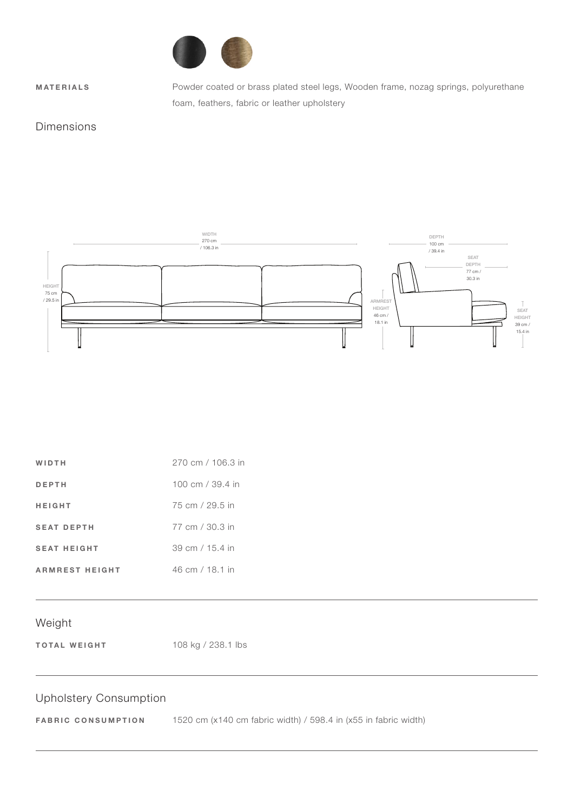

MATERIALS Powder coated or brass plated steel legs, Wooden frame, nozag springs, polyurethane foam, feathers, fabric or leather upholstery

#### Dimensions



| WIDTH                 | 270 cm / 106.3 in |
|-----------------------|-------------------|
| DEPTH                 | 100 cm / 39.4 in  |
| HEIGHT                | 75 cm / 29.5 in   |
| <b>SEAT DEPTH</b>     | 77 cm / 30.3 in   |
| <b>SEAT HEIGHT</b>    | 39 cm / 15.4 in   |
| <b>ARMREST HEIGHT</b> | 46 cm / 18.1 in   |

#### Weight

TOTAL WEIGHT 108 kg / 238.1 lbs

## Upholstery Consumption

FABRIC CONSUMPTION 1520 cm (x140 cm fabric width) / 598.4 in (x55 in fabric width)